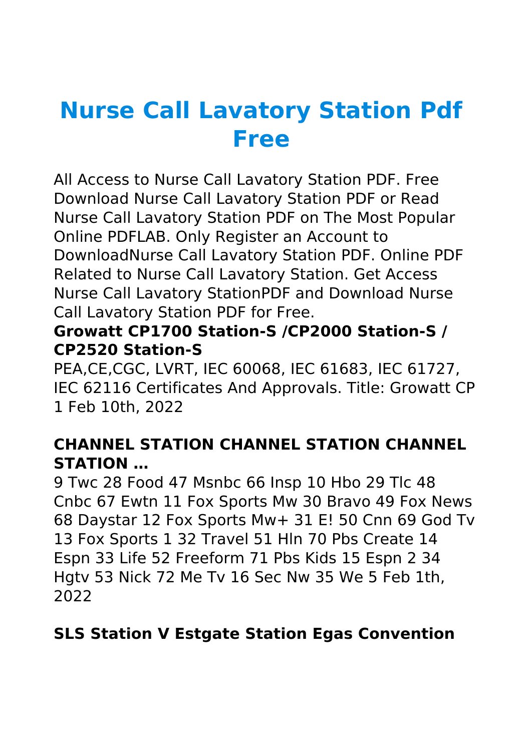# **Nurse Call Lavatory Station Pdf Free**

All Access to Nurse Call Lavatory Station PDF. Free Download Nurse Call Lavatory Station PDF or Read Nurse Call Lavatory Station PDF on The Most Popular Online PDFLAB. Only Register an Account to DownloadNurse Call Lavatory Station PDF. Online PDF Related to Nurse Call Lavatory Station. Get Access Nurse Call Lavatory StationPDF and Download Nurse Call Lavatory Station PDF for Free.

## **Growatt CP1700 Station-S /CP2000 Station-S / CP2520 Station-S**

PEA,CE,CGC, LVRT, IEC 60068, IEC 61683, IEC 61727, IEC 62116 Certificates And Approvals. Title: Growatt CP 1 Feb 10th, 2022

## **CHANNEL STATION CHANNEL STATION CHANNEL STATION …**

9 Twc 28 Food 47 Msnbc 66 Insp 10 Hbo 29 Tlc 48 Cnbc 67 Ewtn 11 Fox Sports Mw 30 Bravo 49 Fox News 68 Daystar 12 Fox Sports Mw+ 31 E! 50 Cnn 69 God Tv 13 Fox Sports 1 32 Travel 51 Hln 70 Pbs Create 14 Espn 33 Life 52 Freeform 71 Pbs Kids 15 Espn 2 34 Hgtv 53 Nick 72 Me Tv 16 Sec Nw 35 We 5 Feb 1th, 2022

## **SLS Station V Estgate Station Egas Convention**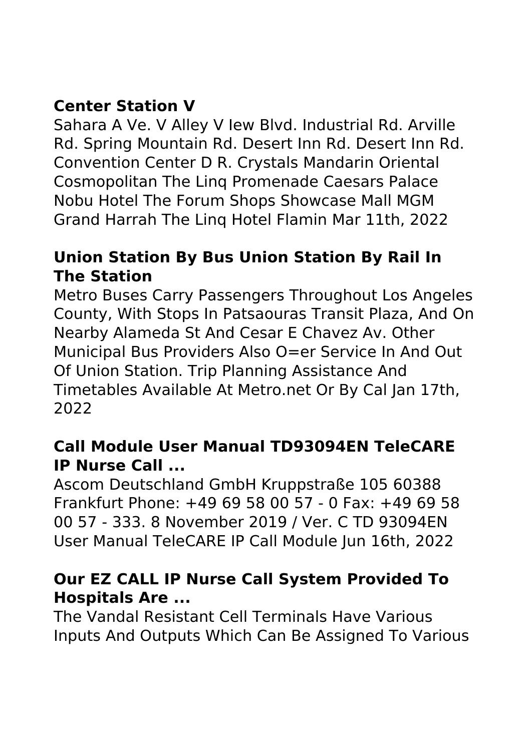# **Center Station V**

Sahara A Ve. V Alley V Iew Blvd. Industrial Rd. Arville Rd. Spring Mountain Rd. Desert Inn Rd. Desert Inn Rd. Convention Center D R. Crystals Mandarin Oriental Cosmopolitan The Linq Promenade Caesars Palace Nobu Hotel The Forum Shops Showcase Mall MGM Grand Harrah The Linq Hotel Flamin Mar 11th, 2022

## **Union Station By Bus Union Station By Rail In The Station**

Metro Buses Carry Passengers Throughout Los Angeles County, With Stops In Patsaouras Transit Plaza, And On Nearby Alameda St And Cesar E Chavez Av. Other Municipal Bus Providers Also O=er Service In And Out Of Union Station. Trip Planning Assistance And Timetables Available At Metro.net Or By Cal Jan 17th, 2022

## **Call Module User Manual TD93094EN TeleCARE IP Nurse Call ...**

Ascom Deutschland GmbH Kruppstraße 105 60388 Frankfurt Phone: +49 69 58 00 57 - 0 Fax: +49 69 58 00 57 - 333. 8 November 2019 / Ver. C TD 93094EN User Manual TeleCARE IP Call Module Jun 16th, 2022

# **Our EZ CALL IP Nurse Call System Provided To Hospitals Are ...**

The Vandal Resistant Cell Terminals Have Various Inputs And Outputs Which Can Be Assigned To Various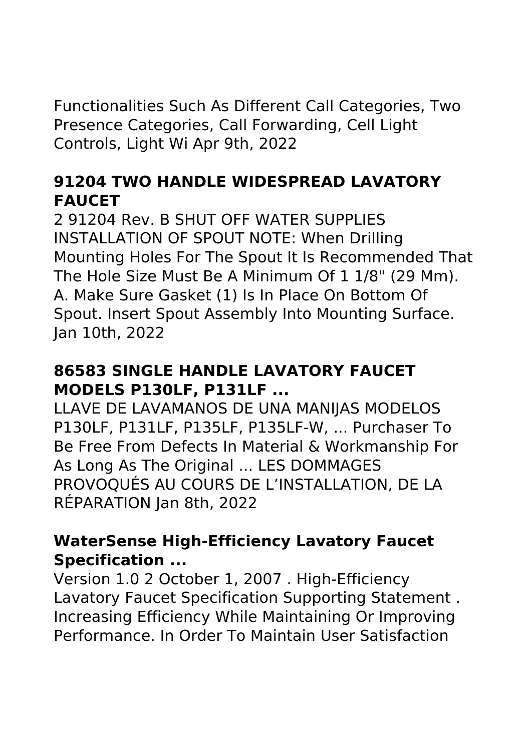Functionalities Such As Different Call Categories, Two Presence Categories, Call Forwarding, Cell Light Controls, Light Wi Apr 9th, 2022

# **91204 TWO HANDLE WIDESPREAD LAVATORY FAUCET**

2 91204 Rev. B SHUT OFF WATER SUPPLIES INSTALLATION OF SPOUT NOTE: When Drilling Mounting Holes For The Spout It Is Recommended That The Hole Size Must Be A Minimum Of 1 1/8" (29 Mm). A. Make Sure Gasket (1) Is In Place On Bottom Of Spout. Insert Spout Assembly Into Mounting Surface. Jan 10th, 2022

# **86583 SINGLE HANDLE LAVATORY FAUCET MODELS P130LF, P131LF ...**

LLAVE DE LAVAMANOS DE UNA MANIJAS MODELOS P130LF, P131LF, P135LF, P135LF-W, ... Purchaser To Be Free From Defects In Material & Workmanship For As Long As The Original ... LES DOMMAGES PROVOQUÉS AU COURS DE L'INSTALLATION, DE LA RÉPARATION Jan 8th, 2022

## **WaterSense High-Efficiency Lavatory Faucet Specification ...**

Version 1.0 2 October 1, 2007 . High-Efficiency Lavatory Faucet Specification Supporting Statement . Increasing Efficiency While Maintaining Or Improving Performance. In Order To Maintain User Satisfaction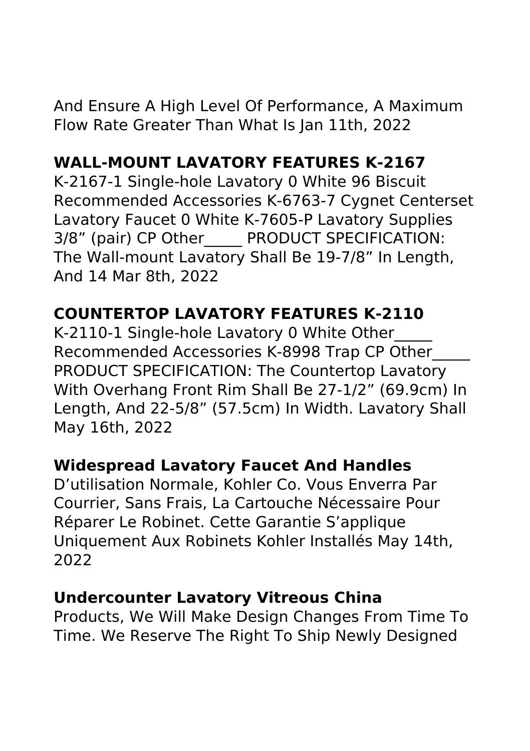# **WALL-MOUNT LAVATORY FEATURES K-2167**

K-2167-1 Single-hole Lavatory 0 White 96 Biscuit Recommended Accessories K-6763-7 Cygnet Centerset Lavatory Faucet 0 White K-7605-P Lavatory Supplies 3/8" (pair) CP Other PRODUCT SPECIFICATION: The Wall-mount Lavatory Shall Be 19-7/8" In Length, And 14 Mar 8th, 2022

# **COUNTERTOP LAVATORY FEATURES K-2110**

K-2110-1 Single-hole Lavatory 0 White Other\_\_\_\_\_ Recommended Accessories K-8998 Trap CP Other\_\_\_\_\_ PRODUCT SPECIFICATION: The Countertop Lavatory With Overhang Front Rim Shall Be 27-1/2" (69.9cm) In Length, And 22-5/8" (57.5cm) In Width. Lavatory Shall May 16th, 2022

# **Widespread Lavatory Faucet And Handles**

D'utilisation Normale, Kohler Co. Vous Enverra Par Courrier, Sans Frais, La Cartouche Nécessaire Pour Réparer Le Robinet. Cette Garantie S'applique Uniquement Aux Robinets Kohler Installés May 14th, 2022

#### **Undercounter Lavatory Vitreous China**

Products, We Will Make Design Changes From Time To Time. We Reserve The Right To Ship Newly Designed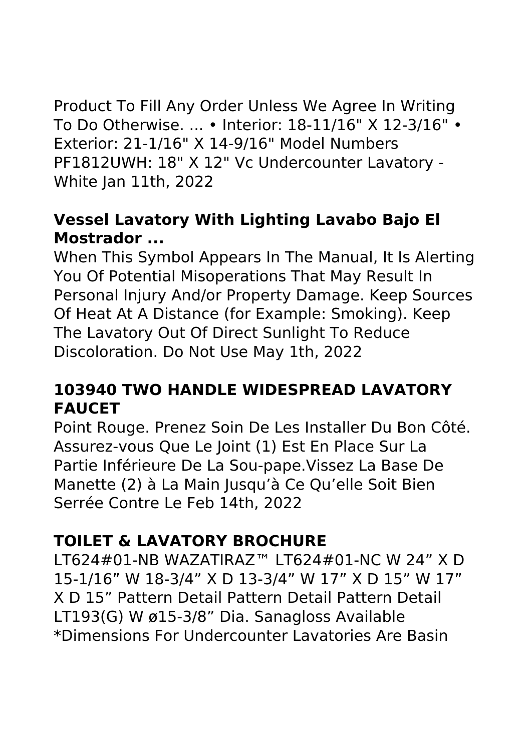Product To Fill Any Order Unless We Agree In Writing To Do Otherwise. ... • Interior: 18-11/16" X 12-3/16" • Exterior: 21-1/16" X 14-9/16" Model Numbers PF1812UWH: 18" X 12" Vc Undercounter Lavatory - White Jan 11th, 2022

## **Vessel Lavatory With Lighting Lavabo Bajo El Mostrador ...**

When This Symbol Appears In The Manual, It Is Alerting You Of Potential Misoperations That May Result In Personal Injury And/or Property Damage. Keep Sources Of Heat At A Distance (for Example: Smoking). Keep The Lavatory Out Of Direct Sunlight To Reduce Discoloration. Do Not Use May 1th, 2022

# **103940 TWO HANDLE WIDESPREAD LAVATORY FAUCET**

Point Rouge. Prenez Soin De Les Installer Du Bon Côté. Assurez-vous Que Le Joint (1) Est En Place Sur La Partie Inférieure De La Sou-pape.Vissez La Base De Manette (2) à La Main Jusqu'à Ce Qu'elle Soit Bien Serrée Contre Le Feb 14th, 2022

# **TOILET & LAVATORY BROCHURE**

LT624#01-NB WAZATIRAZ™ LT624#01-NC W 24" X D 15-1/16" W 18-3/4" X D 13-3/4" W 17" X D 15" W 17" X D 15" Pattern Detail Pattern Detail Pattern Detail LT193(G) W ø15-3/8" Dia. Sanagloss Available \*Dimensions For Undercounter Lavatories Are Basin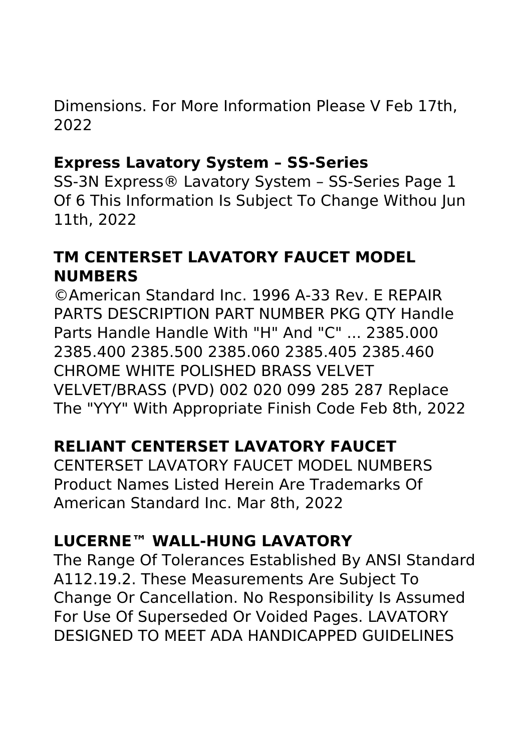Dimensions. For More Information Please V Feb 17th, 2022

#### **Express Lavatory System – SS-Series**

SS-3N Express® Lavatory System – SS-Series Page 1 Of 6 This Information Is Subject To Change Withou Jun 11th, 2022

## **TM CENTERSET LAVATORY FAUCET MODEL NUMBERS**

©American Standard Inc. 1996 A-33 Rev. E REPAIR PARTS DESCRIPTION PART NUMBER PKG QTY Handle Parts Handle Handle With "H" And "C" ... 2385.000 2385.400 2385.500 2385.060 2385.405 2385.460 CHROME WHITE POLISHED BRASS VELVET VELVET/BRASS (PVD) 002 020 099 285 287 Replace The "YYY" With Appropriate Finish Code Feb 8th, 2022

# **RELIANT CENTERSET LAVATORY FAUCET**

CENTERSET LAVATORY FAUCET MODEL NUMBERS Product Names Listed Herein Are Trademarks Of American Standard Inc. Mar 8th, 2022

# **LUCERNE™ WALL-HUNG LAVATORY**

The Range Of Tolerances Established By ANSI Standard A112.19.2. These Measurements Are Subject To Change Or Cancellation. No Responsibility Is Assumed For Use Of Superseded Or Voided Pages. LAVATORY DESIGNED TO MEET ADA HANDICAPPED GUIDELINES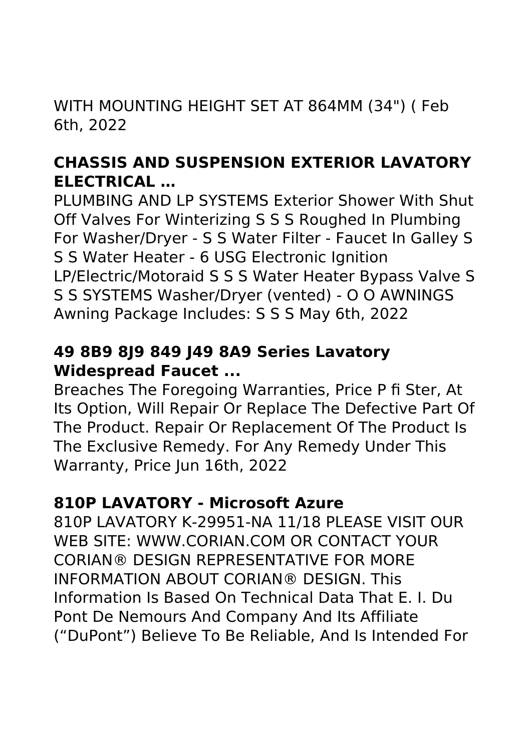WITH MOUNTING HEIGHT SET AT 864MM (34") ( Feb 6th, 2022

# **CHASSIS AND SUSPENSION EXTERIOR LAVATORY ELECTRICAL …**

PLUMBING AND LP SYSTEMS Exterior Shower With Shut Off Valves For Winterizing S S S Roughed In Plumbing For Washer/Dryer - S S Water Filter - Faucet In Galley S S S Water Heater - 6 USG Electronic Ignition LP/Electric/Motoraid S S S Water Heater Bypass Valve S S S SYSTEMS Washer/Dryer (vented) - O O AWNINGS Awning Package Includes: S S S May 6th, 2022

#### **49 8B9 8J9 849 J49 8A9 Series Lavatory Widespread Faucet ...**

Breaches The Foregoing Warranties, Price P fi Ster, At Its Option, Will Repair Or Replace The Defective Part Of The Product. Repair Or Replacement Of The Product Is The Exclusive Remedy. For Any Remedy Under This Warranty, Price Jun 16th, 2022

#### **810P LAVATORY - Microsoft Azure**

810P LAVATORY K-29951-NA 11/18 PLEASE VISIT OUR WEB SITE: WWW.CORIAN.COM OR CONTACT YOUR CORIAN® DESIGN REPRESENTATIVE FOR MORE INFORMATION ABOUT CORIAN® DESIGN. This Information Is Based On Technical Data That E. I. Du Pont De Nemours And Company And Its Affiliate ("DuPont") Believe To Be Reliable, And Is Intended For